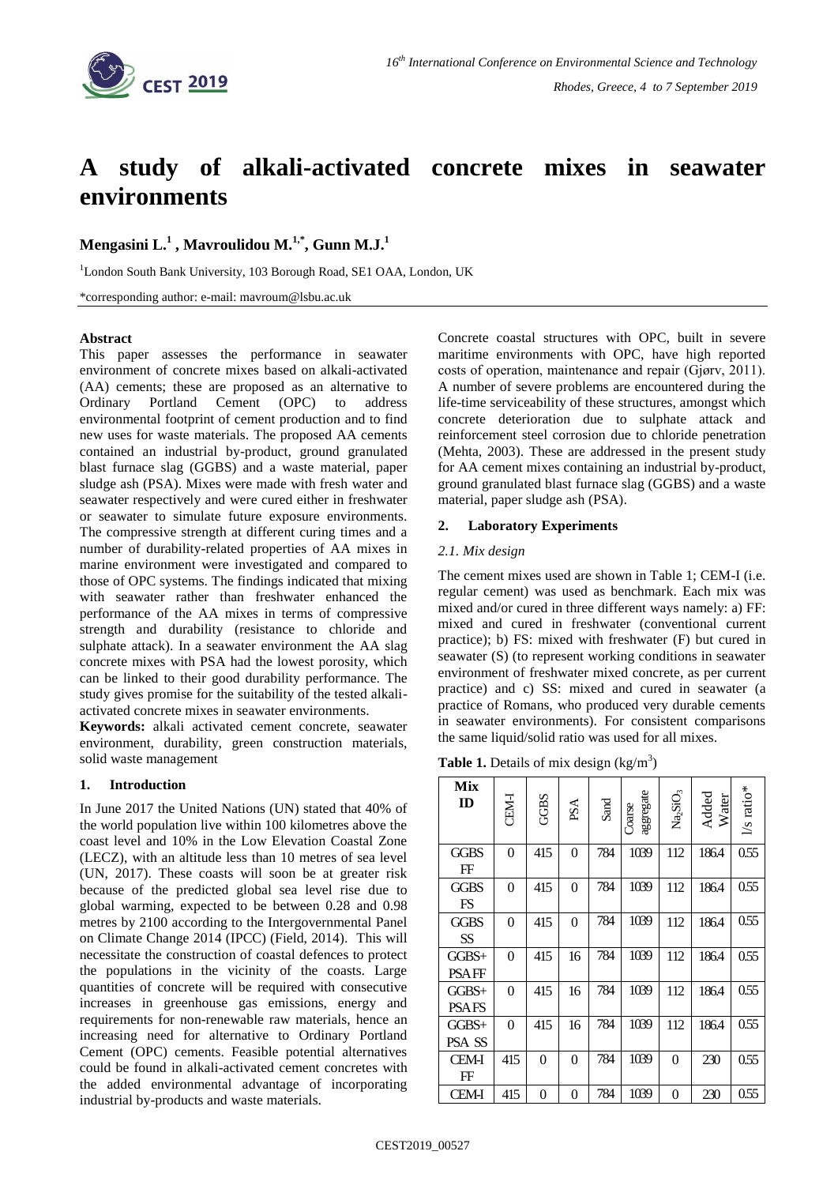

# **A study of alkali-activated concrete mixes in seawater environments**

# **Mengasini L. 1 , Mavroulidou M. 1,\*, Gunn M.J.<sup>1</sup>**

<sup>1</sup>London South Bank University, 103 Borough Road, SE1 OAA, London, UK

\*corresponding author: e-mail: mavroum@lsbu.ac.uk

## **Abstract**

This paper assesses the performance in seawater environment of concrete mixes based on alkali-activated (AA) cements; these are proposed as an alternative to Ordinary Portland Cement (OPC) to address environmental footprint of cement production and to find new uses for waste materials. The proposed AA cements contained an industrial by-product, ground granulated blast furnace slag (GGBS) and a waste material, paper sludge ash (PSA). Mixes were made with fresh water and seawater respectively and were cured either in freshwater or seawater to simulate future exposure environments. The compressive strength at different curing times and a number of durability-related properties of AA mixes in marine environment were investigated and compared to those of OPC systems. The findings indicated that mixing with seawater rather than freshwater enhanced the performance of the AA mixes in terms of compressive strength and durability (resistance to chloride and sulphate attack). In a seawater environment the AA slag concrete mixes with PSA had the lowest porosity, which can be linked to their good durability performance. The study gives promise for the suitability of the tested alkaliactivated concrete mixes in seawater environments.

**Keywords:** alkali activated cement concrete, seawater environment, durability, green construction materials, solid waste management

# **1. Introduction**

In June 2017 the United Nations (UN) stated that 40% of the world population live within 100 kilometres above the coast level and 10% in the Low Elevation Coastal Zone (LECZ), with an altitude less than 10 metres of sea level (UN, 2017). These coasts will soon be at greater risk because of the predicted global sea level rise due to global warming, expected to be between 0.28 and 0.98 metres by 2100 according to the Intergovernmental Panel on Climate Change 2014 (IPCC) (Field, 2014). This will necessitate the construction of coastal defences to protect the populations in the vicinity of the coasts. Large quantities of concrete will be required with consecutive increases in greenhouse gas emissions, energy and requirements for non-renewable raw materials, hence an increasing need for alternative to Ordinary Portland Cement (OPC) cements. Feasible potential alternatives could be found in alkali-activated cement concretes with the added environmental advantage of incorporating industrial by-products and waste materials.

Concrete coastal structures with OPC, built in severe maritime environments with OPC, have high reported costs of operation, maintenance and repair (Gjørv, 2011). A number of severe problems are encountered during the life-time serviceability of these structures, amongst which concrete deterioration due to sulphate attack and reinforcement steel corrosion due to chloride penetration (Mehta, 2003). These are addressed in the present study for AA cement mixes containing an industrial by-product, ground granulated blast furnace slag (GGBS) and a waste material, paper sludge ash (PSA).

# **2. Laboratory Experiments**

## *2.1. Mix design*

The cement mixes used are shown in Table 1; CEM-I (i.e. regular cement) was used as benchmark. Each mix was mixed and/or cured in three different ways namely: a) FF: mixed and cured in freshwater (conventional current practice); b) FS: mixed with freshwater (F) but cured in seawater (S) (to represent working conditions in seawater environment of freshwater mixed concrete, as per current practice) and c) SS: mixed and cured in seawater (a practice of Romans, who produced very durable cements in seawater environments). For consistent comparisons the same liquid/solid ratio was used for all mixes.

**Table 1.** Details of mix design  $(kg/m^3)$ 

| Mix<br>ID               | CEM-I          | <b>GGBS</b> | $PSA$ | Sand | aggregate<br>Coarse | Na <sub>2</sub> SiO <sub>3</sub> | Added<br>Water | l/s ratio* |
|-------------------------|----------------|-------------|-------|------|---------------------|----------------------------------|----------------|------------|
| GGBS<br>$_{\rm FF}$     | $\overline{0}$ | 415         | 0     | 784  | 1039                | 112                              | 186.4          | 0.55       |
| <b>GGBS</b><br>FS       | $\theta$       | 415         | 0     | 784  | 1039                | 112                              | 186.4          | 0.55       |
| GGBS<br>SS              | $\theta$       | 415         | 0     | 784  | 1039                | 112                              | 186.4          | 0.55       |
| $GGBS+$<br>PSAFF        | $\theta$       | 415         | 16    | 784  | 1039                | 112                              | 186.4          | 0.55       |
| $GGBS+$<br><b>PSAFS</b> | 0              | 415         | 16    | 784  | 1039                | 112                              | 186.4          | 0.55       |
| $GGBS+$<br>PSA SS       | $\overline{0}$ | 415         | 16    | 784  | 1039                | 112                              | 186.4          | 0.55       |
| <b>CEM-I</b><br>FF      | 415            | 0           | 0     | 784  | 1039                | 0                                | 230            | 0.55       |
| <b>CEM-I</b>            | 415            | 0           | 0     | 784  | 1039                | 0                                | 230            | 0.55       |